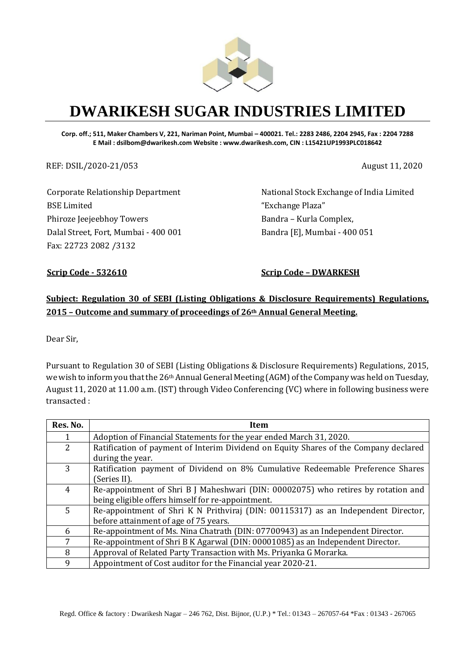

# **DWARIKESH SUGAR INDUSTRIES LIMITED**

**Corp. off.; 511, Maker Chambers V, 221, Nariman Point, Mumbai – 400021. Tel.: 2283 2486, 2204 2945, Fax : 2204 7288 E Mail : dsilbom@dwarikesh.com Website : www.dwarikesh.com, CIN : L15421UP1993PLC018642**

REF: DSIL/2020-21/053 August 11, 2020

Corporate Relationship Department BSE Limited Phiroze Jeejeebhoy Towers Dalal Street, Fort, Mumbai - 400 001 Fax: 22723 2082 /3132

National Stock Exchange of India Limited "Exchange Plaza" Bandra – Kurla Complex, Bandra [E], Mumbai - 400 051

**Scrip Code - 532610 Scrip Code – DWARKESH**

### **Subject: Regulation 30 of SEBI (Listing Obligations & Disclosure Requirements) Regulations, 2015 – Outcome and summary of proceedings of 26th Annual General Meeting.**

Dear Sir,

Pursuant to Regulation 30 of SEBI (Listing Obligations & Disclosure Requirements) Regulations, 2015, we wish to inform you that the 26th Annual General Meeting (AGM) of the Company was held on Tuesday, August 11, 2020 at 11.00 a.m. (IST) through Video Conferencing (VC) where in following business were transacted :

| Res. No. | Item                                                                                 |  |  |
|----------|--------------------------------------------------------------------------------------|--|--|
|          | Adoption of Financial Statements for the year ended March 31, 2020.                  |  |  |
| 2        | Ratification of payment of Interim Dividend on Equity Shares of the Company declared |  |  |
|          | during the year.                                                                     |  |  |
| 3        | Ratification payment of Dividend on 8% Cumulative Redeemable Preference Shares       |  |  |
|          | (Series II).                                                                         |  |  |
| 4        | Re-appointment of Shri B J Maheshwari (DIN: 00002075) who retires by rotation and    |  |  |
|          | being eligible offers himself for re-appointment.                                    |  |  |
| 5        | Re-appointment of Shri K N Prithviraj (DIN: 00115317) as an Independent Director,    |  |  |
|          | before attainment of age of 75 years.                                                |  |  |
| 6        | Re-appointment of Ms. Nina Chatrath (DIN: 07700943) as an Independent Director.      |  |  |
| 7        | Re-appointment of Shri B K Agarwal (DIN: 00001085) as an Independent Director.       |  |  |
| 8        | Approval of Related Party Transaction with Ms. Priyanka G Morarka.                   |  |  |
| 9        | Appointment of Cost auditor for the Financial year 2020-21.                          |  |  |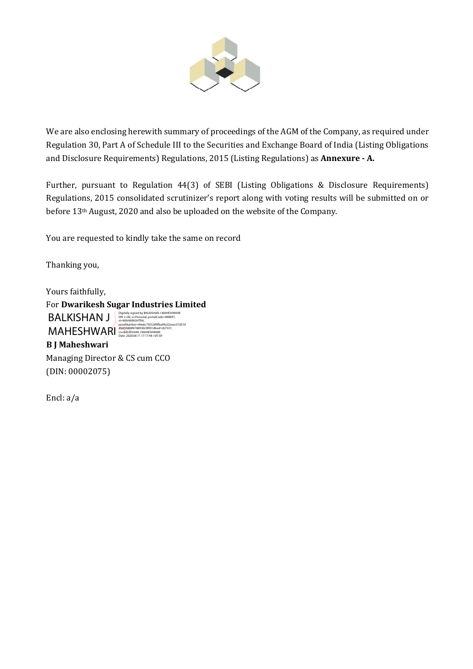

We are also enclosing herewith summary of proceedings of the AGM of the Company, as required under Regulation 30, Part A of Schedule III to the Securities and Exchange Board of India (Listing Obligations and Disclosure Requirements) Regulations, 2015 (Listing Regulations) as **Annexure - A.**

Further, pursuant to Regulation 44(3) of SEBI (Listing Obligations & Disclosure Requirements) Regulations, 2015 consolidated scrutinizer's report along with voting results will be submitted on or before 13th August, 2020 and also be uploaded on the website of the Company.

You are requested to kindly take the same on record

Thanking you,

Yours faithfully,

For **Dwarikesh Sugar Industries Limited B J Maheshwari** BALKISHAN J Digitally signed by BALKISHAN J MAHESHWARI (DEL KINGLESHAN ARISHAN) MAHESHWARI st=MAHARASHTRA,<br>serialNumber=84a6c7925289fba99a32eeac57d510<br>456f5fd00f4788930c9f991dbed1cb7557,<br>cn=BALKISHAN J MAHESHWARI<br>Cnte: 2020.08.11 17:17:48 +05'30'

Managing Director & CS cum CCO (DIN: 00002075)

Encl: a/a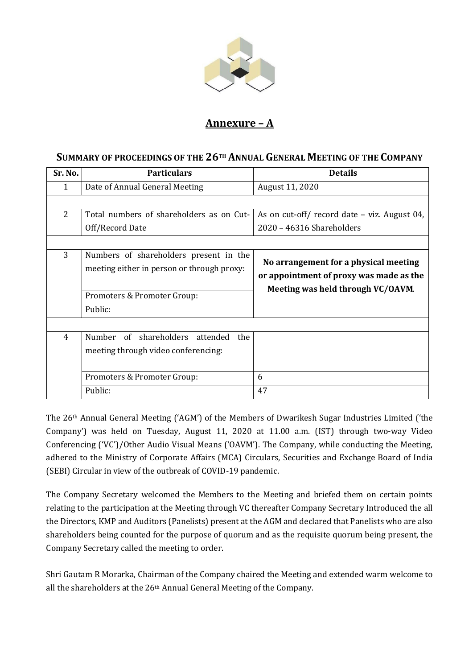

## **Annexure – A**

#### **SUMMARY OF PROCEEDINGS OF THE 26TH ANNUAL GENERAL MEETING OF THE COMPANY**

| Sr. No.        | <b>Particulars</b>                                                                                                             | <b>Details</b>                                                                                                        |
|----------------|--------------------------------------------------------------------------------------------------------------------------------|-----------------------------------------------------------------------------------------------------------------------|
| 1              | Date of Annual General Meeting                                                                                                 | August 11, 2020                                                                                                       |
|                |                                                                                                                                |                                                                                                                       |
| $\overline{2}$ | Total numbers of shareholders as on Cut-                                                                                       | As on cut-off/ record date – viz. August 04,                                                                          |
|                | Off/Record Date                                                                                                                | 2020 - 46316 Shareholders                                                                                             |
|                |                                                                                                                                |                                                                                                                       |
| 3              | Numbers of shareholders present in the<br>meeting either in person or through proxy:<br>Promoters & Promoter Group:<br>Public: | No arrangement for a physical meeting<br>or appointment of proxy was made as the<br>Meeting was held through VC/OAVM. |
| 4              | Number of shareholders attended<br>the<br>meeting through video conferencing:<br>Promoters & Promoter Group:<br>Public:        | 6<br>47                                                                                                               |

The 26th Annual General Meeting ('AGM') of the Members of Dwarikesh Sugar Industries Limited ('the Company') was held on Tuesday, August 11, 2020 at 11.00 a.m. (IST) through two-way Video Conferencing ('VC')/Other Audio Visual Means ('OAVM'). The Company, while conducting the Meeting, adhered to the Ministry of Corporate Affairs (MCA) Circulars, Securities and Exchange Board of India (SEBI) Circular in view of the outbreak of COVID-19 pandemic.

The Company Secretary welcomed the Members to the Meeting and briefed them on certain points relating to the participation at the Meeting through VC thereafter Company Secretary Introduced the all the Directors, KMP and Auditors (Panelists) present at the AGM and declared that Panelists who are also shareholders being counted for the purpose of quorum and as the requisite quorum being present, the Company Secretary called the meeting to order.

Shri Gautam R Morarka, Chairman of the Company chaired the Meeting and extended warm welcome to all the shareholders at the 26th Annual General Meeting of the Company.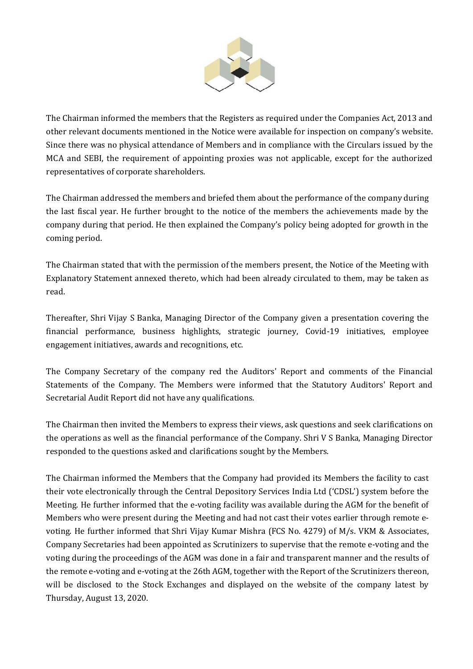

The Chairman informed the members that the Registers as required under the Companies Act, 2013 and other relevant documents mentioned in the Notice were available for inspection on company's website. Since there was no physical attendance of Members and in compliance with the Circulars issued by the MCA and SEBI, the requirement of appointing proxies was not applicable, except for the authorized representatives of corporate shareholders.

The Chairman addressed the members and briefed them about the performance of the company during the last fiscal year. He further brought to the notice of the members the achievements made by the company during that period. He then explained the Company's policy being adopted for growth in the coming period.

The Chairman stated that with the permission of the members present, the Notice of the Meeting with Explanatory Statement annexed thereto, which had been already circulated to them, may be taken as read.

Thereafter, Shri Vijay S Banka, Managing Director of the Company given a presentation covering the financial performance, business highlights, strategic journey, Covid-19 initiatives, employee engagement initiatives, awards and recognitions, etc.

The Company Secretary of the company red the Auditors' Report and comments of the Financial Statements of the Company. The Members were informed that the Statutory Auditors' Report and Secretarial Audit Report did not have any qualifications.

The Chairman then invited the Members to express their views, ask questions and seek clarifications on the operations as well as the financial performance of the Company. Shri V S Banka, Managing Director responded to the questions asked and clarifications sought by the Members.

The Chairman informed the Members that the Company had provided its Members the facility to cast their vote electronically through the Central Depository Services India Ltd ('CDSL') system before the Meeting. He further informed that the e-voting facility was available during the AGM for the benefit of Members who were present during the Meeting and had not cast their votes earlier through remote evoting. He further informed that Shri Vijay Kumar Mishra (FCS No. 4279) of M/s. VKM & Associates, Company Secretaries had been appointed as Scrutinizers to supervise that the remote e-voting and the voting during the proceedings of the AGM was done in a fair and transparent manner and the results of the remote e-voting and e-voting at the 26th AGM, together with the Report of the Scrutinizers thereon, will be disclosed to the Stock Exchanges and displayed on the website of the company latest by Thursday, August 13, 2020.